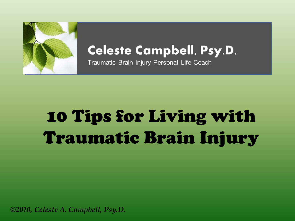

#### **Celeste Campbell, Psy.D.**

Traumatic Brain Injury Personal Life Coach

# 10 Tips for Living with Traumatic Brain Injury

*©2010, Celeste A. Campbell, Psy.D.*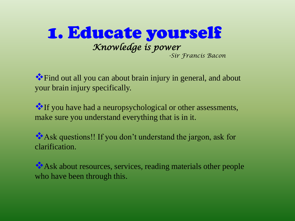

Find out all you can about brain injury in general, and about your brain injury specifically.

If you have had a neuropsychological or other assessments, make sure you understand everything that is in it.

Ask questions!! If you don't understand the jargon, ask for clarification.

Ask about resources, services, reading materials other people who have been through this.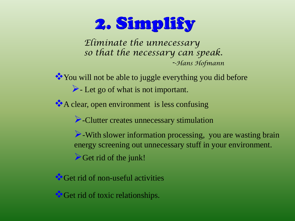# 2. Simplify

*Eliminate the unnecessary so that the necessary can speak. --Hans Hofmann*

You will not be able to juggle everything you did before  $\blacktriangleright$  Let go of what is not important.

A clear, open environment is less confusing

-Clutter creates unnecessary stimulation

Get rid of the junk!  $\triangleright$ -With slower information processing, you are wasting brain energy screening out unnecessary stuff in your environment.

Get rid of non-useful activities

Get rid of toxic relationships.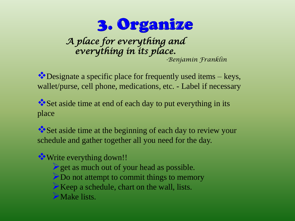

*A place for everything and everything in its place. -Benjamin Franklin* 

Designate a specific place for frequently used items – keys, wallet/purse, cell phone, medications, etc. - Label if necessary

Set aside time at end of each day to put everything in its place

Set aside time at the beginning of each day to review your schedule and gather together all you need for the day.

**Write everything down!!** 

 $\triangleright$  get as much out of your head as possible. Do not attempt to commit things to memory

 $\triangleright$  Keep a schedule, chart on the wall, lists.

Make lists.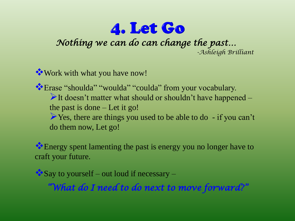## 4. Let Go

*Nothing we can do can change the past…* 

*-Ashleigh Brilliant* 

Work with what you have now!

Erase "shoulda" "woulda" "coulda" from your vocabulary. It doesn't matter what should or shouldn't have happened  $$ the past is done – Let it go! Yes, there are things you used to be able to do - if you can't do them now, Let go!

Energy spent lamenting the past is energy you no longer have to craft your future.

 $\triangle$  Say to yourself – out loud if necessary –

*"What do I need to do next to move forward?"*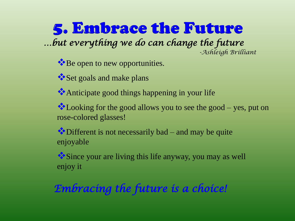5. Embrace the Future *…but everything we do can change the future -Ashleigh Brilliant*

**\*** Be open to new opportunities.

Set goals and make plans

Anticipate good things happening in your life

Looking for the good allows you to see the good – yes, put on rose-colored glasses!

Different is not necessarily bad – and may be quite enjoyable

Since your are living this life anyway, you may as well enjoy it

*Embracing the future is a choice!*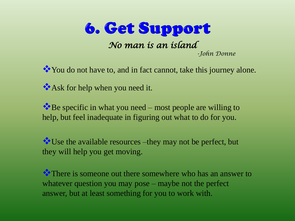

You do not have to, and in fact cannot, take this journey alone. Ask for help when you need it.

 $\bullet$  Be specific in what you need – most people are willing to help, but feel inadequate in figuring out what to do for you.

Use the available resources –they may not be perfect, but they will help you get moving.

There is someone out there somewhere who has an answer to whatever question you may pose – maybe not the perfect answer, but at least something for you to work with.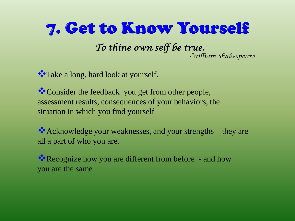## 7. Get to Know Yourself

*To thine own self be true. -William Shakespeare*

\*\* Take a long, hard look at yourself.

\*\* Consider the feedback you get from other people, assessment results, consequences of your behaviors, the situation in which you find yourself

Acknowledge your weaknesses, and your strengths – they are all a part of who you are.

Recognize how you are different from before - and how you are the same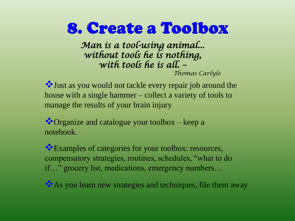### 8. Create a Toolbox

*Man is a tool-using animal... without tools he is nothing, with tools he is all. – Thomas Carlyle*

Just as you would not tackle every repair job around the house with a single hammer – collect a variety of tools to manage the results of your brain injury

Organize and catalogue your toolbox – keep a notebook.

Examples of categories for your toolbox: resources, compensatory strategies, routines, schedules, "what to do if…" grocery list, medications, emergency numbers…

As you learn new strategies and techniques, file them away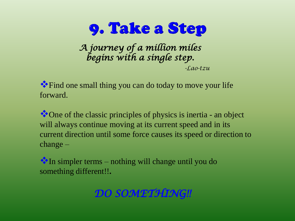

*A journey of a million miles begins with a single step. -Lao-tzu*

Find one small thing you can do today to move your life forward.

• One of the classic principles of physics is inertia - an object will always continue moving at its current speed and in its current direction until some force causes its speed or direction to change –

In simpler terms – nothing will change until you do something different!!**.**

#### *DO SOMETHING!!*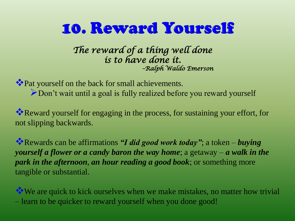### 10. Reward Yourself

*The reward of a thing well done is to have done it. –Ralph Waldo Emerson* 

Pat yourself on the back for small achievements. bon't wait until a goal is fully realized before you reward yourself

Reward yourself for engaging in the process, for sustaining your effort, for not slipping backwards.

Rewards can be affirmations *"I did good work today"*; a token – *buying yourself a flower or a candy baron the way home*; a getaway – *a walk in the park in the afternoon*, *an hour reading a good book*; or something more tangible or substantial.

We are quick to kick ourselves when we make mistakes, no matter how trivial – learn to be quicker to reward yourself when you done good!